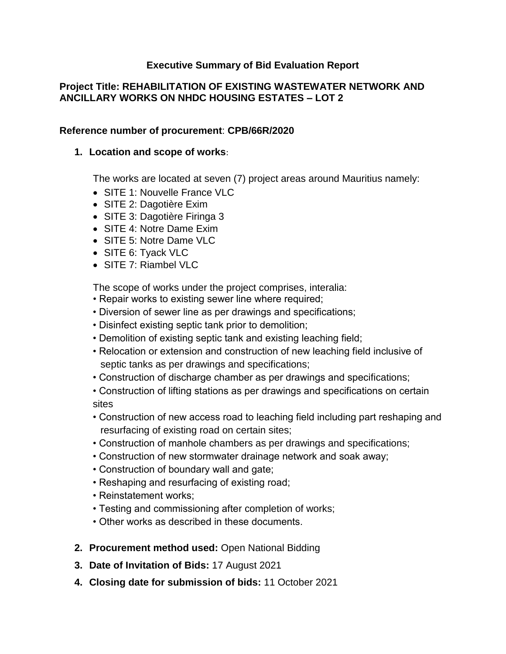## **Executive Summary of Bid Evaluation Report**

## **Project Title: REHABILITATION OF EXISTING WASTEWATER NETWORK AND ANCILLARY WORKS ON NHDC HOUSING ESTATES – LOT 2**

#### **Reference number of procurement**: **CPB/66R/2020**

#### **1. Location and scope of works**:

The works are located at seven (7) project areas around Mauritius namely:

- SITE 1: Nouvelle France VLC
- SITE 2: Dagotière Exim
- SITE 3: Dagotière Firinga 3
- SITE 4: Notre Dame Exim
- SITE 5: Notre Dame VLC
- SITE 6: Tyack VLC
- SITE 7: Riambel VLC

The scope of works under the project comprises, interalia:

- Repair works to existing sewer line where required;
- Diversion of sewer line as per drawings and specifications;
- Disinfect existing septic tank prior to demolition;
- Demolition of existing septic tank and existing leaching field;
- Relocation or extension and construction of new leaching field inclusive of septic tanks as per drawings and specifications;
- Construction of discharge chamber as per drawings and specifications;
- Construction of lifting stations as per drawings and specifications on certain sites
- Construction of new access road to leaching field including part reshaping and resurfacing of existing road on certain sites;
- Construction of manhole chambers as per drawings and specifications;
- Construction of new stormwater drainage network and soak away;
- Construction of boundary wall and gate;
- Reshaping and resurfacing of existing road;
- Reinstatement works;
- Testing and commissioning after completion of works;
- Other works as described in these documents.
- **2. Procurement method used:** Open National Bidding
- **3. Date of Invitation of Bids:** 17 August 2021
- **4. Closing date for submission of bids:** 11 October 2021